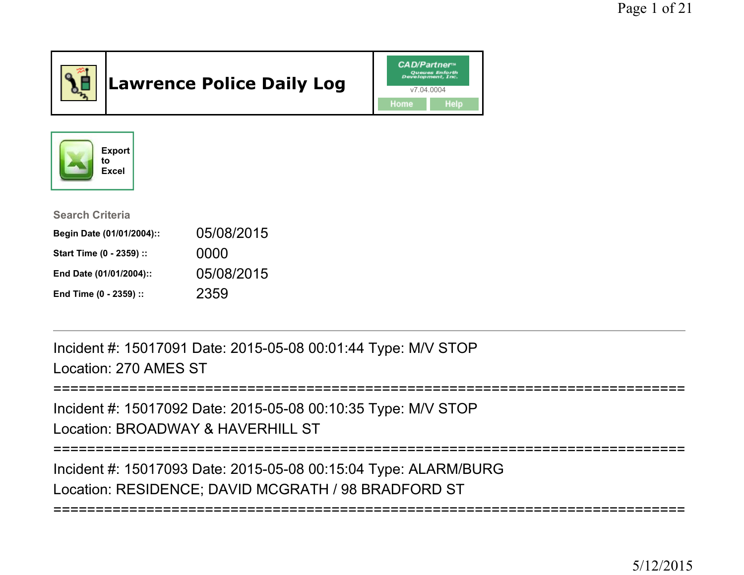

# Lawrence Police Daily Log





| <b>Search Criteria</b>    |            |
|---------------------------|------------|
| Begin Date (01/01/2004):: | 05/08/2015 |
| Start Time (0 - 2359) ::  | 0000       |
| End Date (01/01/2004)::   | 05/08/2015 |
| End Time (0 - 2359) ::    | 2359       |

Incident #: 15017091 Date: 2015-05-08 00:01:44 Type: M/V STOPLocation: 270 AMES ST

```
===========================================================================
```
Incident #: 15017092 Date: 2015-05-08 00:10:35 Type: M/V STOPLocation: BROADWAY & HAVERHILL ST

===========================================================================

Incident #: 15017093 Date: 2015-05-08 00:15:04 Type: ALARM/BURGLocation: RESIDENCE; DAVID MCGRATH / 98 BRADFORD ST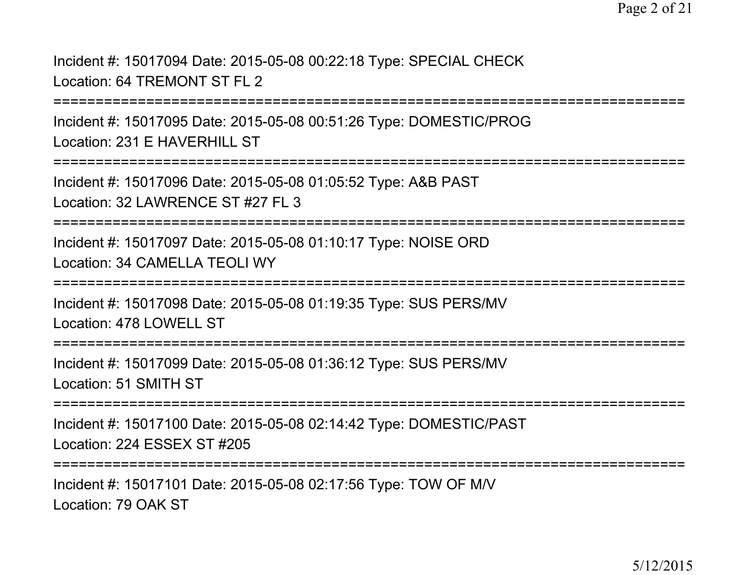Incident #: 15017094 Date: 2015-05-08 00:22:18 Type: SPECIAL CHECKLocation: 64 TREMONT ST FL 2

===========================================================================

Incident #: 15017095 Date: 2015-05-08 00:51:26 Type: DOMESTIC/PROGLocation: 231 E HAVERHILL ST

===========================================================================

Incident #: 15017096 Date: 2015-05-08 01:05:52 Type: A&B PASTLocation: 32 LAWRENCE ST #27 FL 3

===========================================================================

Incident #: 15017097 Date: 2015-05-08 01:10:17 Type: NOISE ORDLocation: 34 CAMELLA TEOLI WY

===========================================================================

Incident #: 15017098 Date: 2015-05-08 01:19:35 Type: SUS PERS/MVLocation: 478 LOWELL ST

===========================================================================

Incident #: 15017099 Date: 2015-05-08 01:36:12 Type: SUS PERS/MVLocation: 51 SMITH ST

===========================================================================

Incident #: 15017100 Date: 2015-05-08 02:14:42 Type: DOMESTIC/PASTLocation: 224 ESSEX ST #205

**=================** 

Incident #: 15017101 Date: 2015-05-08 02:17:56 Type: TOW OF M/VLocation: 79 OAK ST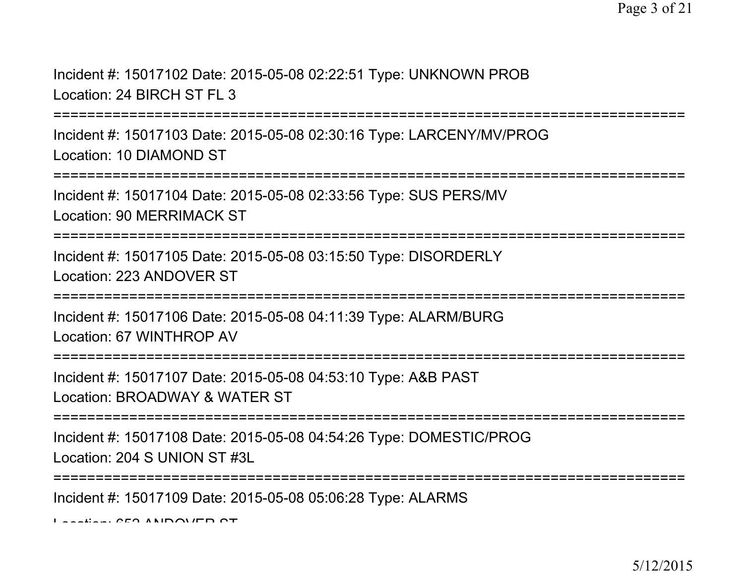Incident #: 15017102 Date: 2015-05-08 02:22:51 Type: UNKNOWN PROBLocation: 24 BIRCH ST FL 3

===============

Incident #: 15017103 Date: 2015-05-08 02:30:16 Type: LARCENY/MV/PROGLocation: 10 DIAMOND ST

==================

Incident #: 15017104 Date: 2015-05-08 02:33:56 Type: SUS PERS/MVLocation: 90 MERRIMACK ST

===========================================================================

Incident #: 15017105 Date: 2015-05-08 03:15:50 Type: DISORDERLYLocation: 223 ANDOVER ST

===========================================================================

Incident #: 15017106 Date: 2015-05-08 04:11:39 Type: ALARM/BURGLocation: 67 WINTHROP AV

===========================================================================

Incident #: 15017107 Date: 2015-05-08 04:53:10 Type: A&B PAST

Location: BROADWAY & WATER ST

===========================================================================

Incident #: 15017108 Date: 2015-05-08 04:54:26 Type: DOMESTIC/PROGLocation: 204 S UNION ST #3L

===========================================================================

Incident #: 15017109 Date: 2015-05-08 05:06:28 Type: ALARMS

Location: 650 ANDOVER CT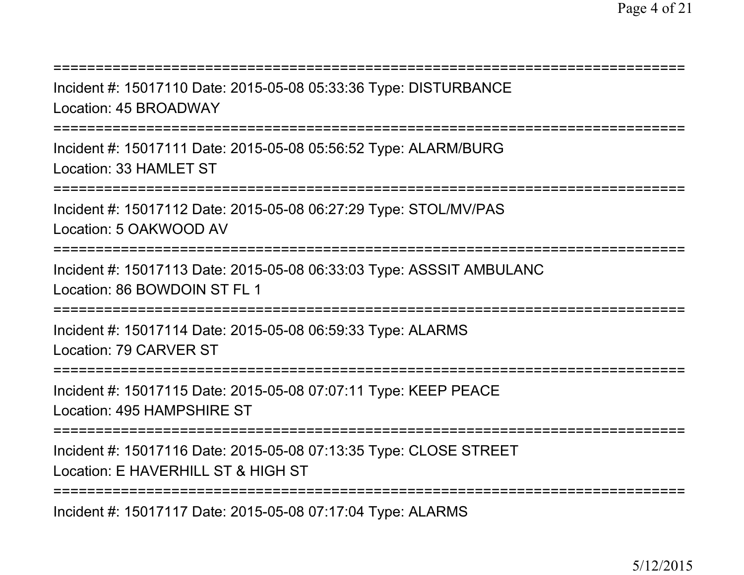| Incident #: 15017110 Date: 2015-05-08 05:33:36 Type: DISTURBANCE<br>Location: 45 BROADWAY                                 |
|---------------------------------------------------------------------------------------------------------------------------|
| Incident #: 15017111 Date: 2015-05-08 05:56:52 Type: ALARM/BURG<br>Location: 33 HAMLET ST                                 |
| Incident #: 15017112 Date: 2015-05-08 06:27:29 Type: STOL/MV/PAS<br>Location: 5 OAKWOOD AV                                |
| Incident #: 15017113 Date: 2015-05-08 06:33:03 Type: ASSSIT AMBULANC<br>Location: 86 BOWDOIN ST FL 1<br>================= |
| Incident #: 15017114 Date: 2015-05-08 06:59:33 Type: ALARMS<br>Location: 79 CARVER ST                                     |
| ==================<br>Incident #: 15017115 Date: 2015-05-08 07:07:11 Type: KEEP PEACE<br>Location: 495 HAMPSHIRE ST       |
| =============<br>Incident #: 15017116 Date: 2015-05-08 07:13:35 Type: CLOSE STREET<br>Location: E HAVERHILL ST & HIGH ST  |
|                                                                                                                           |

Incident #: 15017117 Date: 2015-05-08 07:17:04 Type: ALARMS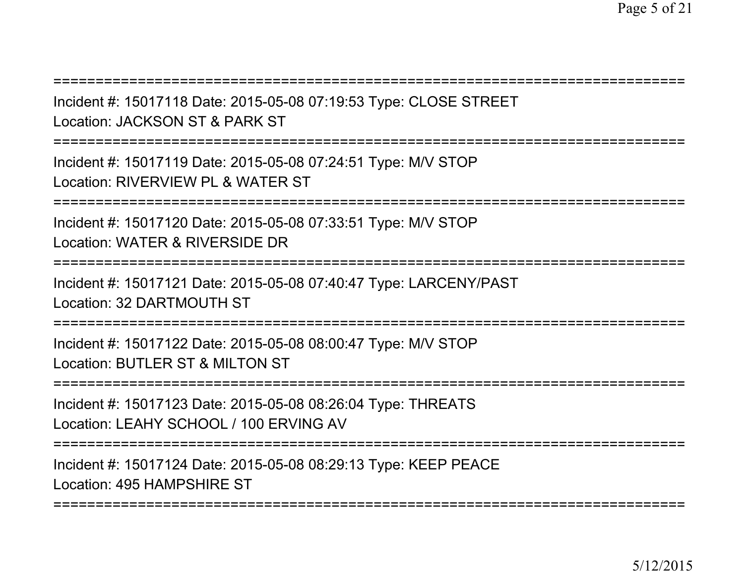===========================================================================Incident #: 15017118 Date: 2015-05-08 07:19:53 Type: CLOSE STREETLocation: JACKSON ST & PARK ST===========================================================================Incident #: 15017119 Date: 2015-05-08 07:24:51 Type: M/V STOPLocation: RIVERVIEW PL & WATER ST===========================================================================Incident #: 15017120 Date: 2015-05-08 07:33:51 Type: M/V STOPLocation: WATER & RIVERSIDE DR ===========================================================================Incident #: 15017121 Date: 2015-05-08 07:40:47 Type: LARCENY/PASTLocation: 32 DARTMOUTH ST===========================================================================Incident #: 15017122 Date: 2015-05-08 08:00:47 Type: M/V STOPLocation: BUTLER ST & MILTON ST===========================================================================Incident #: 15017123 Date: 2015-05-08 08:26:04 Type: THREATSLocation: LEAHY SCHOOL / 100 ERVING AV===========================================================================Incident #: 15017124 Date: 2015-05-08 08:29:13 Type: KEEP PEACELocation: 495 HAMPSHIRE ST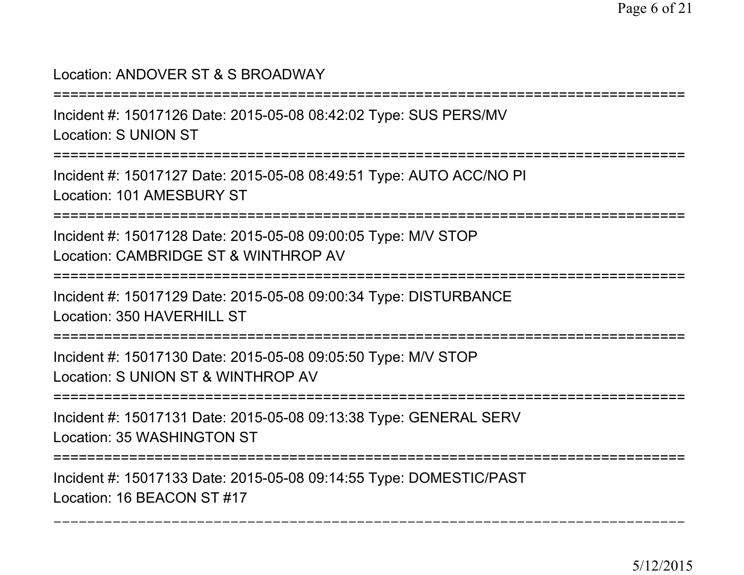### Location: ANDOVER ST & S BROADWAY

===========================================================================

Incident #: 15017126 Date: 2015-05-08 08:42:02 Type: SUS PERS/MVLocation: S UNION ST

===========================================================================

Incident #: 15017127 Date: 2015-05-08 08:49:51 Type: AUTO ACC/NO PILocation: 101 AMESBURY ST

===========================================================================

Incident #: 15017128 Date: 2015-05-08 09:00:05 Type: M/V STOPLocation: CAMBRIDGE ST & WINTHROP AV

===========================================================================

Incident #: 15017129 Date: 2015-05-08 09:00:34 Type: DISTURBANCELocation: 350 HAVERHILL ST

===========================================================================

Incident #: 15017130 Date: 2015-05-08 09:05:50 Type: M/V STOPLocation: S UNION ST & WINTHROP AV

===========================================================================

Incident #: 15017131 Date: 2015-05-08 09:13:38 Type: GENERAL SERVLocation: 35 WASHINGTON ST

===========================================================================

Incident #: 15017133 Date: 2015-05-08 09:14:55 Type: DOMESTIC/PASTLocation: 16 BEACON ST #17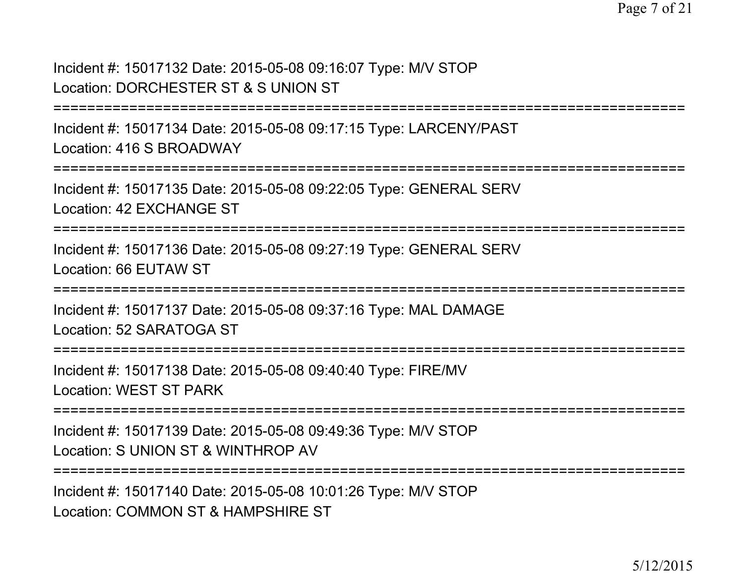Incident #: 15017132 Date: 2015-05-08 09:16:07 Type: M/V STOPLocation: DORCHESTER ST & S UNION ST

```
===========================================================================
```
Incident #: 15017134 Date: 2015-05-08 09:17:15 Type: LARCENY/PASTLocation: 416 S BROADWAY

```

===========================================================================
```
Incident #: 15017135 Date: 2015-05-08 09:22:05 Type: GENERAL SERVLocation: 42 EXCHANGE ST

===========================================================================

Incident #: 15017136 Date: 2015-05-08 09:27:19 Type: GENERAL SERVLocation: 66 EUTAW ST

===========================================================================

Incident #: 15017137 Date: 2015-05-08 09:37:16 Type: MAL DAMAGE

Location: 52 SARATOGA ST

===========================================================================

Incident #: 15017138 Date: 2015-05-08 09:40:40 Type: FIRE/MVLocation: WEST ST PARK

===========================================================================

Incident #: 15017139 Date: 2015-05-08 09:49:36 Type: M/V STOPLocation: S UNION ST & WINTHROP AV

===========================================================================

Incident #: 15017140 Date: 2015-05-08 10:01:26 Type: M/V STOPLocation: COMMON ST & HAMPSHIRE ST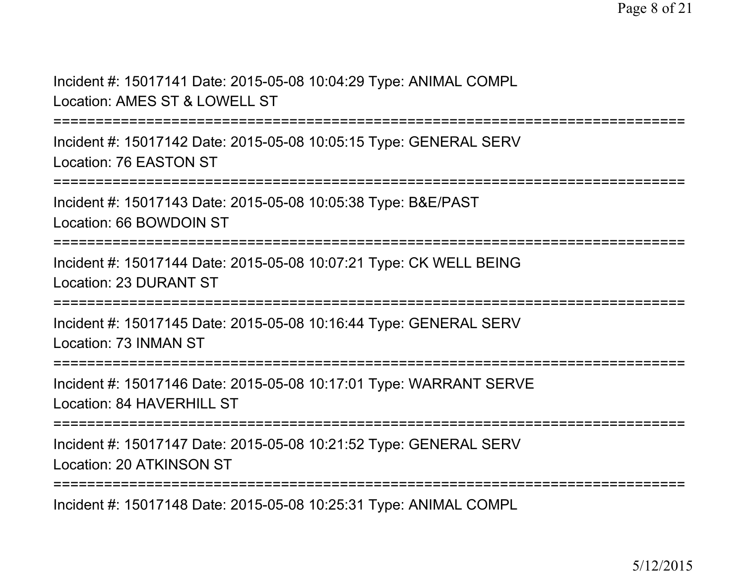Incident #: 15017141 Date: 2015-05-08 10:04:29 Type: ANIMAL COMPLLocation: AMES ST & LOWELL ST

===========================================================================

Incident #: 15017142 Date: 2015-05-08 10:05:15 Type: GENERAL SERVLocation: 76 EASTON ST

===========================================================================

Incident #: 15017143 Date: 2015-05-08 10:05:38 Type: B&E/PASTLocation: 66 BOWDOIN ST

===========================================================================

Incident #: 15017144 Date: 2015-05-08 10:07:21 Type: CK WELL BEINGLocation: 23 DURANT ST

===========================================================================

Incident #: 15017145 Date: 2015-05-08 10:16:44 Type: GENERAL SERVLocation: 73 INMAN ST

===========================================================================

Incident #: 15017146 Date: 2015-05-08 10:17:01 Type: WARRANT SERVELocation: 84 HAVERHILL ST

===========================================================================

Incident #: 15017147 Date: 2015-05-08 10:21:52 Type: GENERAL SERVLocation: 20 ATKINSON ST

===========================================================================

Incident #: 15017148 Date: 2015-05-08 10:25:31 Type: ANIMAL COMPL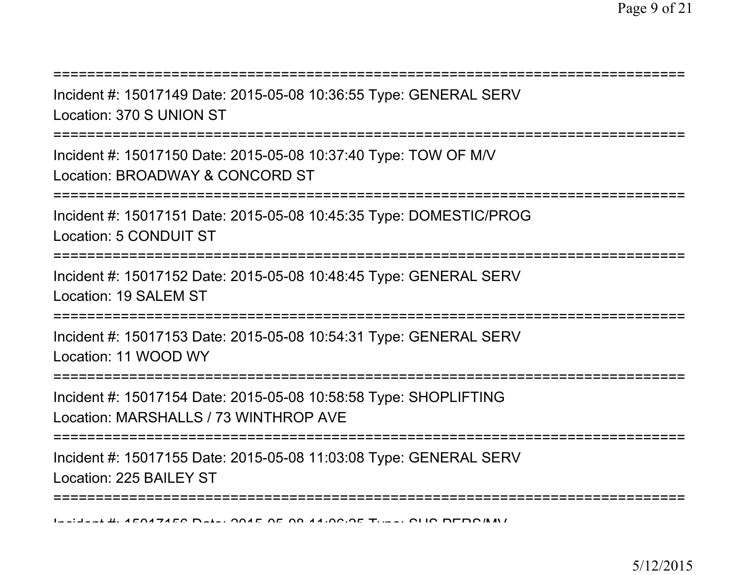Incident #: 15017149 Date: 2015-05-08 10:36:55 Type: GENERAL SERVLocation: 370 S UNION ST

===========================================================================

===========================================================================

Incident #: 15017150 Date: 2015-05-08 10:37:40 Type: TOW OF M/VLocation: BROADWAY & CONCORD ST

===========================================================================

Incident #: 15017151 Date: 2015-05-08 10:45:35 Type: DOMESTIC/PROGLocation: 5 CONDUIT ST

===========================================================================

Incident #: 15017152 Date: 2015-05-08 10:48:45 Type: GENERAL SERVLocation: 19 SALEM ST

==============================

Incident #: 15017153 Date: 2015-05-08 10:54:31 Type: GENERAL SERVLocation: 11 WOOD WY

===========================================================================

Incident #: 15017154 Date: 2015-05-08 10:58:58 Type: SHOPLIFTINGLocation: MARSHALLS / 73 WINTHROP AVE

===========================================================================

Incident #: 15017155 Date: 2015-05-08 11:03:08 Type: GENERAL SERVLocation: 225 BAILEY ST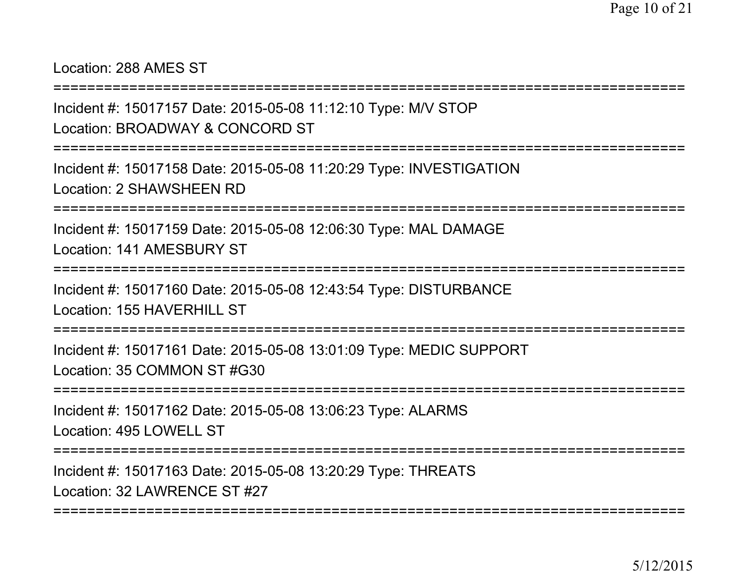Location: 288 AMES ST

===========================================================================

Incident #: 15017157 Date: 2015-05-08 11:12:10 Type: M/V STOPLocation: BROADWAY & CONCORD ST

===========================================================================

Incident #: 15017158 Date: 2015-05-08 11:20:29 Type: INVESTIGATIONLocation: 2 SHAWSHEEN RD

===========================================================================

Incident #: 15017159 Date: 2015-05-08 12:06:30 Type: MAL DAMAGELocation: 141 AMESBURY ST

===========================================================================

Incident #: 15017160 Date: 2015-05-08 12:43:54 Type: DISTURBANCELocation: 155 HAVERHILL ST

===========================================================================

Incident #: 15017161 Date: 2015-05-08 13:01:09 Type: MEDIC SUPPORTLocation: 35 COMMON ST #G30

===========================================================================

Incident #: 15017162 Date: 2015-05-08 13:06:23 Type: ALARMSLocation: 495 LOWELL ST

===========================================================================

Incident #: 15017163 Date: 2015-05-08 13:20:29 Type: THREATSLocation: 32 LAWRENCE ST #27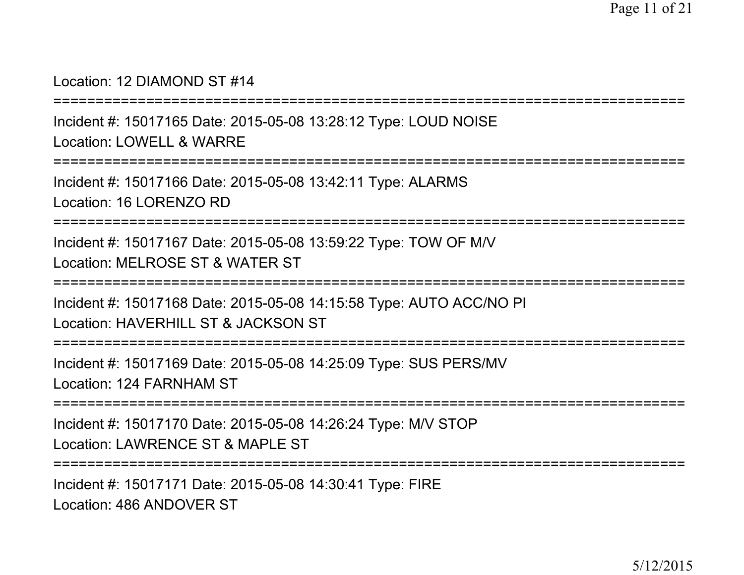#### Location: 12 DIAMOND ST #14

```
===========================================================================
```
Incident #: 15017165 Date: 2015-05-08 13:28:12 Type: LOUD NOISELocation: LOWELL & WARRE

===========================================================================

Incident #: 15017166 Date: 2015-05-08 13:42:11 Type: ALARMSLocation: 16 LORENZO RD

===========================================================================

Incident #: 15017167 Date: 2015-05-08 13:59:22 Type: TOW OF M/VLocation: MELROSE ST & WATER ST

===========================================================================

Incident #: 15017168 Date: 2015-05-08 14:15:58 Type: AUTO ACC/NO PILocation: HAVERHILL ST & JACKSON ST

===========================================================================

Incident #: 15017169 Date: 2015-05-08 14:25:09 Type: SUS PERS/MVLocation: 124 FARNHAM ST

===========================================================================

Incident #: 15017170 Date: 2015-05-08 14:26:24 Type: M/V STOPLocation: LAWRENCE ST & MAPLE ST

===========================================================================

Incident #: 15017171 Date: 2015-05-08 14:30:41 Type: FIRELocation: 486 ANDOVER ST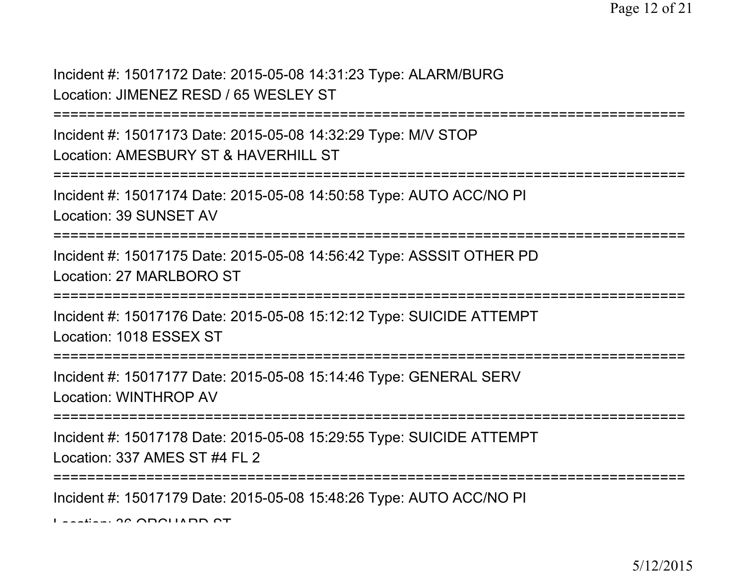Incident #: 15017172 Date: 2015-05-08 14:31:23 Type: ALARM/BURGLocation: JIMENEZ RESD / 65 WESLEY ST

===========================================================================

Incident #: 15017173 Date: 2015-05-08 14:32:29 Type: M/V STOPLocation: AMESBURY ST & HAVERHILL ST

```
===========================================================================
```
Incident #: 15017174 Date: 2015-05-08 14:50:58 Type: AUTO ACC/NO PILocation: 39 SUNSET AV

===========================================================================

Incident #: 15017175 Date: 2015-05-08 14:56:42 Type: ASSSIT OTHER PDLocation: 27 MARI BORO ST

===========================================================================

Incident #: 15017176 Date: 2015-05-08 15:12:12 Type: SUICIDE ATTEMPTLocation: 1018 ESSEX ST

===========================================================================

Incident #: 15017177 Date: 2015-05-08 15:14:46 Type: GENERAL SERVLocation: WINTHROP AV

===========================================================================

Incident #: 15017178 Date: 2015-05-08 15:29:55 Type: SUICIDE ATTEMPTLocation: 337 AMES ST #4 FL 2

===========================================================================

Incident #: 15017179 Date: 2015-05-08 15:48:26 Type: AUTO ACC/NO PI

Location: 36 ORCHARD ST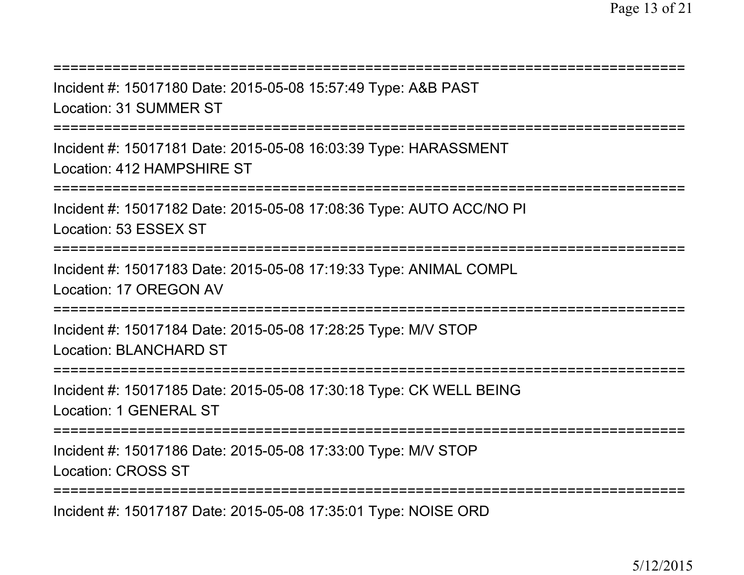| Incident #: 15017180 Date: 2015-05-08 15:57:49 Type: A&B PAST<br><b>Location: 31 SUMMER ST</b>                                       |
|--------------------------------------------------------------------------------------------------------------------------------------|
| Incident #: 15017181 Date: 2015-05-08 16:03:39 Type: HARASSMENT<br>Location: 412 HAMPSHIRE ST                                        |
| Incident #: 15017182 Date: 2015-05-08 17:08:36 Type: AUTO ACC/NO PI<br>Location: 53 ESSEX ST                                         |
| Incident #: 15017183 Date: 2015-05-08 17:19:33 Type: ANIMAL COMPL<br>Location: 17 OREGON AV                                          |
| Incident #: 15017184 Date: 2015-05-08 17:28:25 Type: M/V STOP<br><b>Location: BLANCHARD ST</b>                                       |
| Incident #: 15017185 Date: 2015-05-08 17:30:18 Type: CK WELL BEING<br><b>Location: 1 GENERAL ST</b>                                  |
| ======================================<br>Incident #: 15017186 Date: 2015-05-08 17:33:00 Type: M/V STOP<br><b>Location: CROSS ST</b> |

Incident #: 15017187 Date: 2015-05-08 17:35:01 Type: NOISE ORD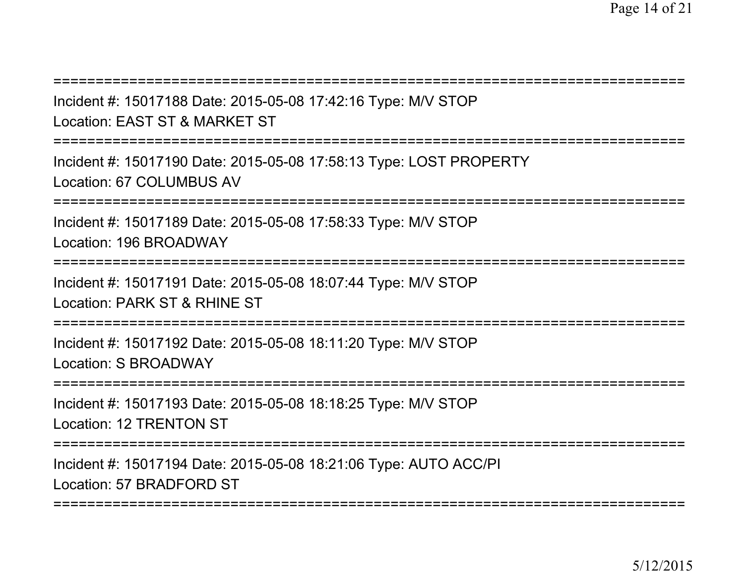| Incident #: 15017188 Date: 2015-05-08 17:42:16 Type: M/V STOP<br>Location: EAST ST & MARKET ST                                |
|-------------------------------------------------------------------------------------------------------------------------------|
| Incident #: 15017190 Date: 2015-05-08 17:58:13 Type: LOST PROPERTY<br>Location: 67 COLUMBUS AV                                |
| Incident #: 15017189 Date: 2015-05-08 17:58:33 Type: M/V STOP<br>Location: 196 BROADWAY<br>:================================= |
| Incident #: 15017191 Date: 2015-05-08 18:07:44 Type: M/V STOP<br>Location: PARK ST & RHINE ST                                 |
| Incident #: 15017192 Date: 2015-05-08 18:11:20 Type: M/V STOP<br>Location: S BROADWAY                                         |
| Incident #: 15017193 Date: 2015-05-08 18:18:25 Type: M/V STOP<br>Location: 12 TRENTON ST                                      |
| Incident #: 15017194 Date: 2015-05-08 18:21:06 Type: AUTO ACC/PI<br>Location: 57 BRADFORD ST<br>======================        |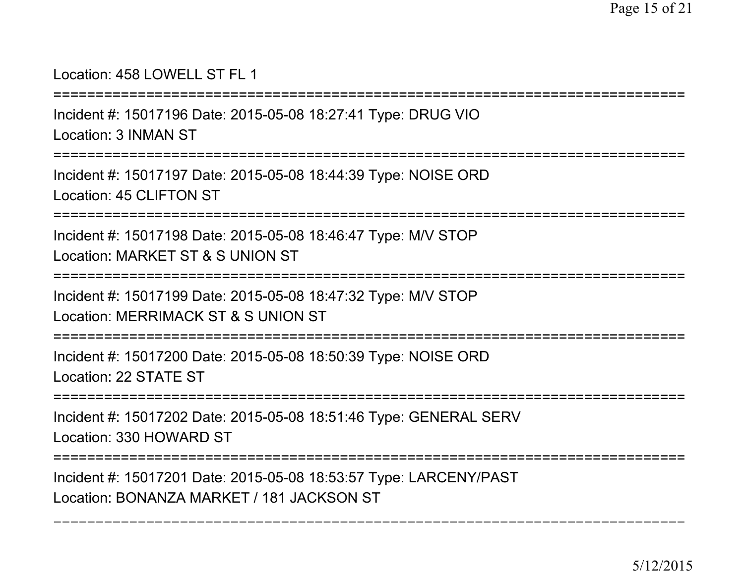### Location: 458 LOWELL ST FL 1

===========================================================================

Incident #: 15017196 Date: 2015-05-08 18:27:41 Type: DRUG VIO

Location: 3 INMAN ST

===========================================================================

Incident #: 15017197 Date: 2015-05-08 18:44:39 Type: NOISE ORDLocation: 45 CLIFTON ST

===========================================================================

Incident #: 15017198 Date: 2015-05-08 18:46:47 Type: M/V STOPLocation: MARKET ST & S UNION ST

===========================================================================

Incident #: 15017199 Date: 2015-05-08 18:47:32 Type: M/V STOPLocation: MERRIMACK ST & S UNION ST

===========================================================================

Incident #: 15017200 Date: 2015-05-08 18:50:39 Type: NOISE ORDLocation: 22 STATE ST

===========================================================================

Incident #: 15017202 Date: 2015-05-08 18:51:46 Type: GENERAL SERVLocation: 330 HOWARD ST

===========================================================================

===========================================================================

Incident #: 15017201 Date: 2015-05-08 18:53:57 Type: LARCENY/PASTLocation: BONANZA MARKET / 181 JACKSON ST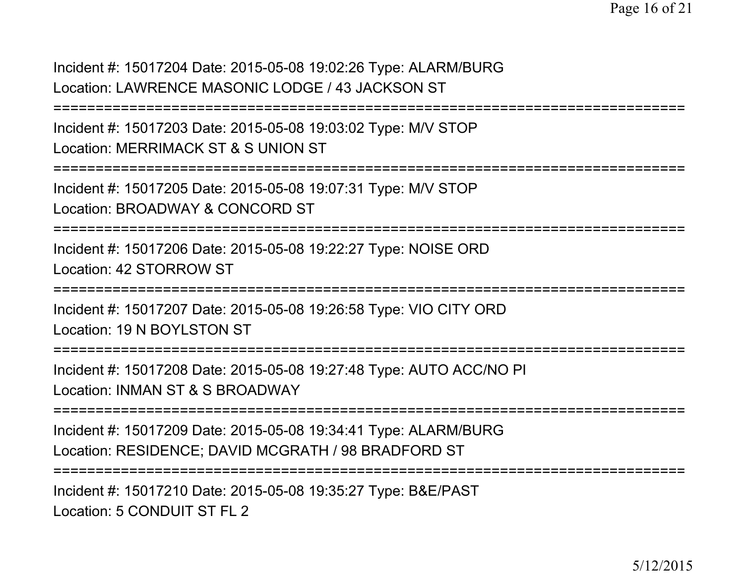Incident #: 15017204 Date: 2015-05-08 19:02:26 Type: ALARM/BURGLocation: LAWRENCE MASONIC LODGE / 43 JACKSON ST

===========================================================================

Incident #: 15017203 Date: 2015-05-08 19:03:02 Type: M/V STOPLocation: MERRIMACK ST & S UNION ST

===========================================================================

Incident #: 15017205 Date: 2015-05-08 19:07:31 Type: M/V STOP

Location: BROADWAY & CONCORD ST

===========================================================================

Incident #: 15017206 Date: 2015-05-08 19:22:27 Type: NOISE ORDLocation: 42 STORROW ST

===========================================================================

Incident #: 15017207 Date: 2015-05-08 19:26:58 Type: VIO CITY ORDLocation: 19 N BOYLSTON ST

===========================================================================

Incident #: 15017208 Date: 2015-05-08 19:27:48 Type: AUTO ACC/NO PILocation: INMAN ST & S BROADWAY

===========================================================================

Incident #: 15017209 Date: 2015-05-08 19:34:41 Type: ALARM/BURGLocation: RESIDENCE; DAVID MCGRATH / 98 BRADFORD ST

===========================================================================

Incident #: 15017210 Date: 2015-05-08 19:35:27 Type: B&E/PASTLocation: 5 CONDUIT ST FL 2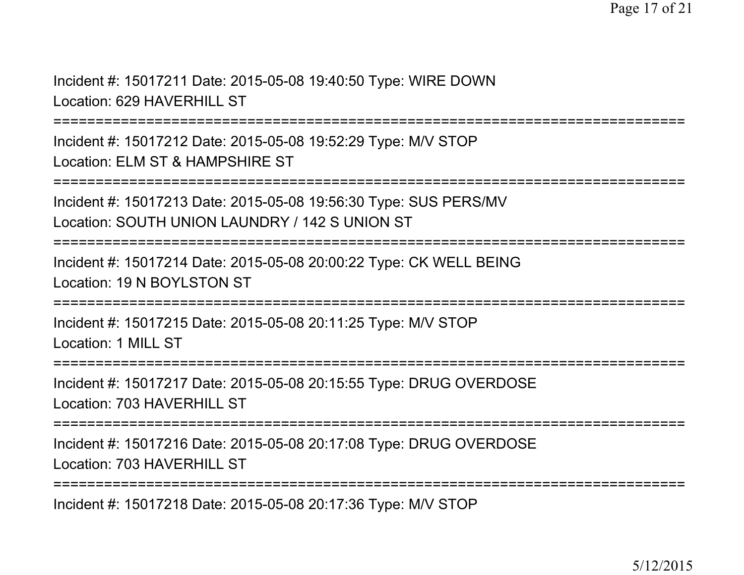Incident #: 15017211 Date: 2015-05-08 19:40:50 Type: WIRE DOWNLocation: 629 HAVERHILL ST

===========================================================================

Incident #: 15017212 Date: 2015-05-08 19:52:29 Type: M/V STOPLocation: ELM ST & HAMPSHIRE ST

===========================================================================

Incident #: 15017213 Date: 2015-05-08 19:56:30 Type: SUS PERS/MVLocation: SOUTH UNION LAUNDRY / 142 S UNION ST

===========================================================================

Incident #: 15017214 Date: 2015-05-08 20:00:22 Type: CK WELL BEINGLocation: 19 N BOYLSTON ST

===========================================================================

Incident #: 15017215 Date: 2015-05-08 20:11:25 Type: M/V STOPLocation: 1 MILL ST

===========================================================================

Incident #: 15017217 Date: 2015-05-08 20:15:55 Type: DRUG OVERDOSELocation: 703 HAVERHILL ST

===========================================================================

Incident #: 15017216 Date: 2015-05-08 20:17:08 Type: DRUG OVERDOSELocation: 703 HAVERHILL ST

===========================================================================

Incident #: 15017218 Date: 2015-05-08 20:17:36 Type: M/V STOP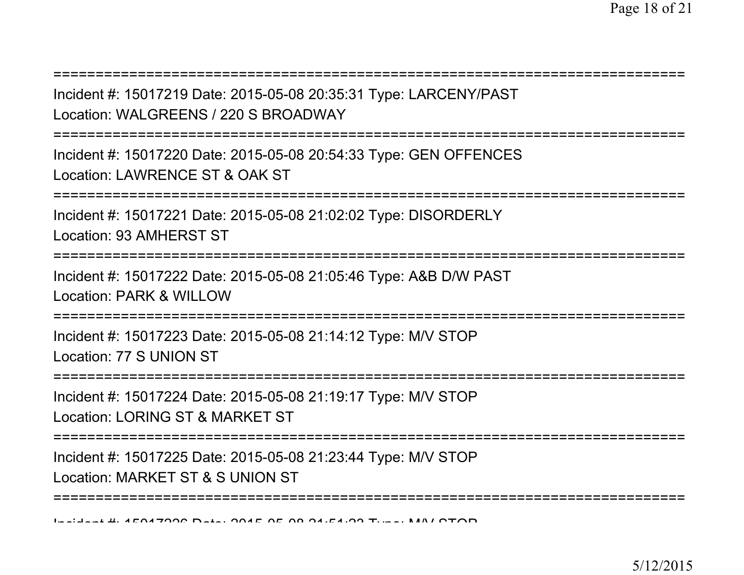| Incident #: 15017219 Date: 2015-05-08 20:35:31 Type: LARCENY/PAST<br>Location: WALGREENS / 220 S BROADWAY                                    |
|----------------------------------------------------------------------------------------------------------------------------------------------|
| Incident #: 15017220 Date: 2015-05-08 20:54:33 Type: GEN OFFENCES<br>Location: LAWRENCE ST & OAK ST<br>===================================== |
| Incident #: 15017221 Date: 2015-05-08 21:02:02 Type: DISORDERLY<br><b>Location: 93 AMHERST ST</b>                                            |
| Incident #: 15017222 Date: 2015-05-08 21:05:46 Type: A&B D/W PAST<br>Location: PARK & WILLOW                                                 |
| Incident #: 15017223 Date: 2015-05-08 21:14:12 Type: M/V STOP<br>Location: 77 S UNION ST                                                     |
| Incident #: 15017224 Date: 2015-05-08 21:19:17 Type: M/V STOP<br>Location: LORING ST & MARKET ST                                             |
| Incident #: 15017225 Date: 2015-05-08 21:23:44 Type: M/V STOP<br>Location: MARKET ST & S UNION ST                                            |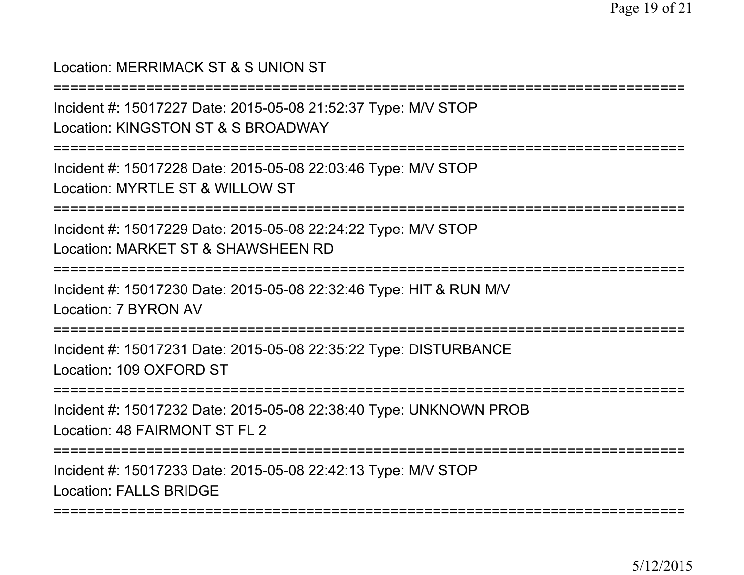## Location: MERRIMACK ST & S UNION ST

**============** 

Incident #: 15017227 Date: 2015-05-08 21:52:37 Type: M/V STOP

Location: KINGSTON ST & S BROADWAY

===========================================================================

Incident #: 15017228 Date: 2015-05-08 22:03:46 Type: M/V STOPLocation: MYRTLE ST & WILLOW ST

===========================================================================

Incident #: 15017229 Date: 2015-05-08 22:24:22 Type: M/V STOPLocation: MARKET ST & SHAWSHEEN RD

===========================================================================

Incident #: 15017230 Date: 2015-05-08 22:32:46 Type: HIT & RUN M/VLocation: 7 BYRON AV

===========================================================================

Incident #: 15017231 Date: 2015-05-08 22:35:22 Type: DISTURBANCELocation: 109 OXFORD ST

===========================================================================

Incident #: 15017232 Date: 2015-05-08 22:38:40 Type: UNKNOWN PROBLocation: 48 FAIRMONT ST FL 2

===========================================================================

Incident #: 15017233 Date: 2015-05-08 22:42:13 Type: M/V STOPLocation: FALLS BRIDGE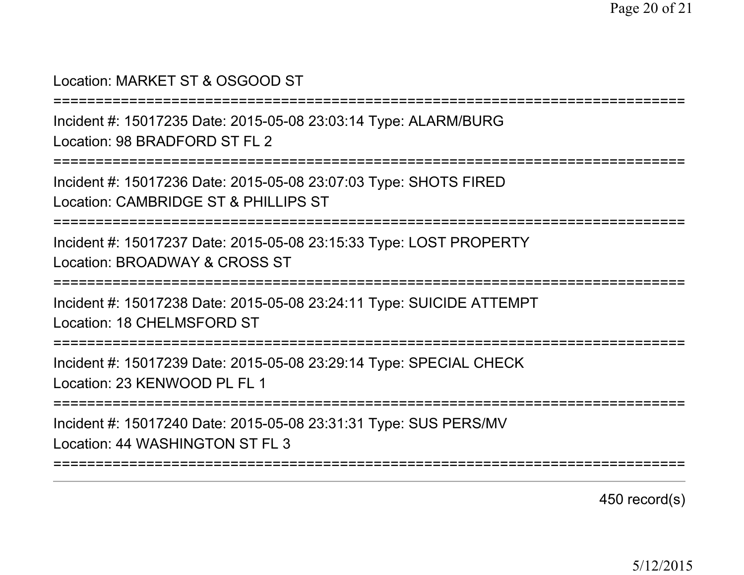#### Location: MARKET ST & OSGOOD ST

===========================================================================

Incident #: 15017235 Date: 2015-05-08 23:03:14 Type: ALARM/BURGLocation: 98 BRADEORD ST FL 2

===========================================================================

Incident #: 15017236 Date: 2015-05-08 23:07:03 Type: SHOTS FIREDLocation: CAMBRIDGE ST & PHILLIPS ST

===========================================================================

Incident #: 15017237 Date: 2015-05-08 23:15:33 Type: LOST PROPERTYLocation: BROADWAY & CROSS ST

===========================================================================

Incident #: 15017238 Date: 2015-05-08 23:24:11 Type: SUICIDE ATTEMPTLocation: 18 CHELMSFORD ST

===========================================================================

Incident #: 15017239 Date: 2015-05-08 23:29:14 Type: SPECIAL CHECKLocation: 23 KENWOOD PL FL 1

===========================================================================

Incident #: 15017240 Date: 2015-05-08 23:31:31 Type: SUS PERS/MVLocation: 44 WASHINGTON ST FL 3

===========================================================================

450 record(s)